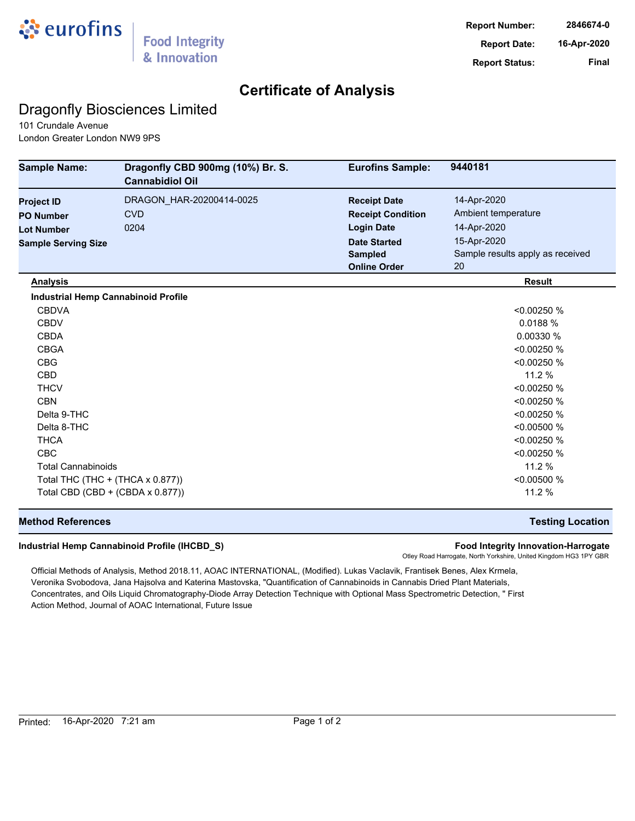

## **Certificate of Analysis**

## Dragonfly Biosciences Limited

101 Crundale Avenue London Greater London NW9 9PS

| <b>Sample Name:</b>                        | Dragonfly CBD 900mg (10%) Br. S.<br><b>Cannabidiol Oil</b> | <b>Eurofins Sample:</b>  | 9440181                          |
|--------------------------------------------|------------------------------------------------------------|--------------------------|----------------------------------|
| <b>Project ID</b>                          | DRAGON_HAR-20200414-0025                                   | <b>Receipt Date</b>      | 14-Apr-2020                      |
| <b>PO Number</b>                           | <b>CVD</b>                                                 | <b>Receipt Condition</b> | Ambient temperature              |
| <b>Lot Number</b>                          | 0204                                                       | <b>Login Date</b>        | 14-Apr-2020                      |
| <b>Sample Serving Size</b>                 |                                                            | <b>Date Started</b>      | 15-Apr-2020                      |
|                                            |                                                            | <b>Sampled</b>           | Sample results apply as received |
|                                            |                                                            | <b>Online Order</b>      | 20                               |
| <b>Analysis</b>                            |                                                            |                          | <b>Result</b>                    |
| <b>Industrial Hemp Cannabinoid Profile</b> |                                                            |                          |                                  |
| <b>CBDVA</b>                               |                                                            |                          | < 0.00250 %                      |
| <b>CBDV</b>                                |                                                            |                          | 0.0188%                          |
| <b>CBDA</b>                                |                                                            |                          | 0.00330 %                        |
| <b>CBGA</b>                                |                                                            |                          | < 0.00250 %                      |
| <b>CBG</b>                                 |                                                            |                          | < 0.00250 %                      |
| <b>CBD</b>                                 |                                                            |                          | 11.2 %                           |
| <b>THCV</b>                                |                                                            |                          | < 0.00250 %                      |
| <b>CBN</b>                                 |                                                            |                          | < 0.00250 %                      |
| Delta 9-THC                                |                                                            |                          | < 0.00250 %                      |
| Delta 8-THC                                |                                                            |                          | < 0.00500 %                      |
| <b>THCA</b>                                |                                                            |                          | < 0.00250 %                      |
| <b>CBC</b>                                 |                                                            |                          | < 0.00250 %                      |
| <b>Total Cannabinoids</b>                  |                                                            |                          | 11.2 %                           |
| Total THC (THC + (THCA x 0.877))           |                                                            |                          | < 0.00500 %                      |
| Total CBD (CBD + (CBDA x 0.877))           |                                                            |                          | 11.2 %                           |

### **Method References Testing Location**

#### **Industrial Hemp Cannabinoid Profile (IHCBD\_S) Food Integrity Innovation-Harrogate**

Otley Road Harrogate, North Yorkshire, United Kingdom HG3 1PY GBR

Official Methods of Analysis, Method 2018.11, AOAC INTERNATIONAL, (Modified). Lukas Vaclavik, Frantisek Benes, Alex Krmela, Veronika Svobodova, Jana Hajsolva and Katerina Mastovska, "Quantification of Cannabinoids in Cannabis Dried Plant Materials, Concentrates, and Oils Liquid Chromatography-Diode Array Detection Technique with Optional Mass Spectrometric Detection, " First Action Method, Journal of AOAC International, Future Issue